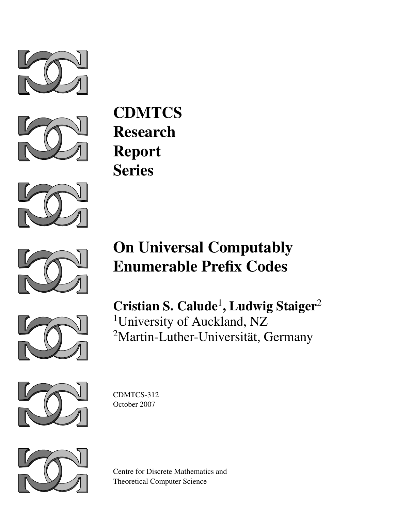



**CDMTCS** Research Report Series



# On Universal Computably Enumerable Prefix Codes



Cristian S. Calude<sup>1</sup>, Ludwig Staiger<sup>2</sup> <sup>1</sup>University of Auckland, NZ <sup>2</sup>Martin-Luther-Universität, Germany



CDMTCS-312 October 2007



Centre for Discrete Mathematics and Theoretical Computer Science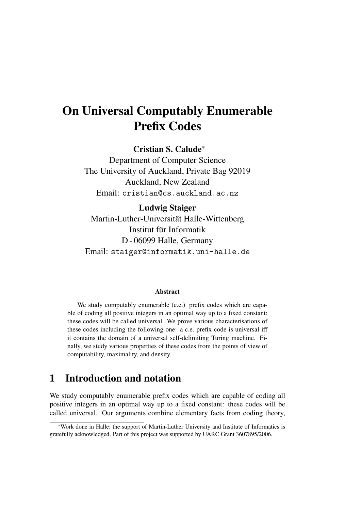# On Universal Computably Enumerable Prefix Codes

Cristian S. Calude<sup>∗</sup>

Department of Computer Science The University of Auckland, Private Bag 92019 Auckland, New Zealand Email: cristian@cs.auckland.ac.nz

#### Ludwig Staiger

Martin-Luther-Universität Halle-Wittenberg Institut für Informatik D - 06099 Halle, Germany Email: staiger@informatik.uni-halle.de

#### Abstract

We study computably enumerable (c.e.) prefix codes which are capable of coding all positive integers in an optimal way up to a fixed constant: these codes will be called universal. We prove various characterisations of these codes including the following one: a c.e. prefix code is universal iff it contains the domain of a universal self-delimiting Turing machine. Finally, we study various properties of these codes from the points of view of computability, maximality, and density.

# 1 Introduction and notation

We study computably enumerable prefix codes which are capable of coding all positive integers in an optimal way up to a fixed constant: these codes will be called universal. Our arguments combine elementary facts from coding theory,

<sup>∗</sup>Work done in Halle; the support of Martin-Luther University and Institute of Informatics is gratefully acknowledged. Part of this project was supported by UARC Grant 3607895/2006.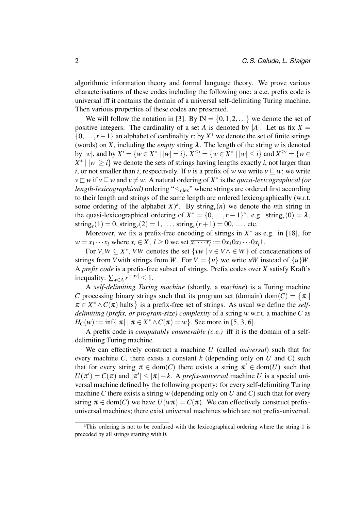algorithmic information theory and formal language theory. We prove various characterisations of these codes including the following one: a c.e. prefix code is universal iff it contains the domain of a universal self-delimiting Turing machine. Then various properties of these codes are presented.

We will follow the notation in [3]. By  $\mathbb{N} = \{0, 1, 2, \ldots\}$  we denote the set of positive integers. The cardinality of a set *A* is denoted by |*A*|. Let us fix  $X =$ {0,...,*r*−1} an alphabet of cardinality *r*; by *X* <sup>∗</sup> we denote the set of finite strings (words) on *X*, including the *empty* string  $\lambda$ . The length of the string *w* is denoted by  $|w|$ , and by  $X^i = \{w \in X^* \mid |w| = i\}$ ,  $X^{\leq i} = \{w \in X^* \mid |w| \leq i\}$  and  $X^{\geq i} = \{w \in X^* \mid |w| \leq i\}$  $X^* \mid |w| \geq i$  we denote the sets of strings having lengths exactly *i*, not larger than *i*, or not smaller than *i*, respectively. If *v* is a prefix of *w* we write  $v \sqsubset w$ ; we write  $v \sqsubset w$  if  $v \sqsubseteq w$  and  $v \neq w$ . A natural ordering of  $X^*$  is the *quasi-lexicographical (or length-lexicographical*) ordering "≤<sub>qlex</sub>" where strings are ordered first according to their length and strings of the same length are ordered lexicographically (w.r.t. some ordering of the alphabet  $X$ <sup>2</sup>. By string<sub>*r*</sub>(*n*) we denote the *n*th string in the quasi-lexicographical ordering of  $X^* = \{0, ..., r-1\}^*$ , e.g. string<sub>*r*</sub>(0) =  $\lambda$ ,  $\text{string}_r(1) = 0, \text{string}_r(2) = 1, \ldots, \text{string}_r(r+1) = 00, \ldots, \text{etc.}$ 

Moreover, we fix a prefix-free encoding of strings in  $X^*$  as e.g. in [18], for  $w = x_1 \cdots x_l$  where  $x_i \in X$ ,  $l \ge 0$  we set  $\overline{x_1 \cdots x_l} := 0x_1 0x_2 \cdots 0x_l 1$ .

For  $V, W \subseteq X^*$ , *VW* denotes the set  $\{vw \mid v \in V \land \in W\}$  of concatenations of strings from *V* with strings from *W*. For  $V = \{u\}$  we write *uW* instead of  $\{u\}W$ . A *prefix code* is a prefix-free subset of strings. Prefix codes over *X* satisfy Kraft's inequality:  $\sum_{w \in A} r^{-|w|} \leq 1$ .

A *self-delimiting Turing machine* (shortly, a *machine*) is a Turing machine *C* processing binary strings such that its program set (domain) dom $(C) = \{ \pi \mid$  $\pi \in X^* \wedge C(\pi)$  halts } is a prefix-free set of strings. As usual we define the *selfdelimiting (prefix, or program-size) complexity* of a string *w* w.r.t. a machine *C* as  $H_C(w) := \inf\{|\pi| \mid \pi \in X^* \wedge C(\pi) = w\}.$  See more in [5, 3, 6].

A prefix code is *computably enumerable (c.e.)* iff it is the domain of a selfdelimiting Turing machine.

We can effectively construct a machine *U* (called *universal*) such that for every machine *C*, there exists a constant *k* (depending only on *U* and *C*) such that for every string  $\pi \in \text{dom}(C)$  there exists a string  $\pi' \in \text{dom}(U)$  such that  $U(\pi') = C(\pi)$  and  $|\pi'| \leq |\pi| + k$ . A *prefix-universal* machine *U* is a special universal machine defined by the following property: for every self-delimiting Turing machine *C* there exists a string *w* (depending only on *U* and *C*) such that for every string  $\pi \in \text{dom}(C)$  we have  $U(w\pi) = C(\pi)$ . We can effectively construct prefixuniversal machines; there exist universal machines which are not prefix-universal.

<sup>a</sup>This ordering is not to be confused with the lexicographical ordering where the string 1 is preceded by all strings starting with 0.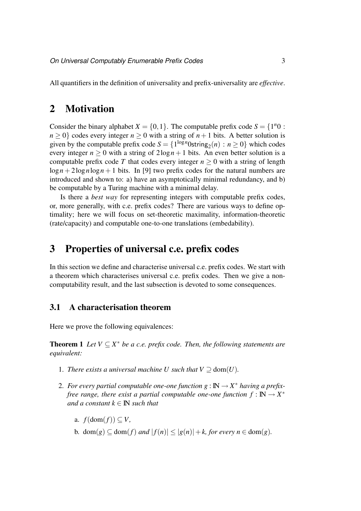All quantifiers in the definition of universality and prefix-universality are *effective*.

### 2 Motivation

Consider the binary alphabet  $X = \{0, 1\}$ . The computable prefix code  $S = \{1^n0:$  $n > 0$ } codes every integer  $n > 0$  with a string of  $n + 1$  bits. A better solution is given by the computable prefix code  $S = \{1^{\log n} 0 \text{string}_2(n) : n \ge 0\}$  which codes every integer  $n > 0$  with a string of  $2\log n + 1$  bits. An even better solution is a computable prefix code *T* that codes every integer  $n \geq 0$  with a string of length  $\log n + 2\log n \log n + 1$  bits. In [9] two prefix codes for the natural numbers are introduced and shown to: a) have an asymptotically minimal redundancy, and b) be computable by a Turing machine with a minimal delay.

Is there a *best way* for representing integers with computable prefix codes, or, more generally, with c.e. prefix codes? There are various ways to define optimality; here we will focus on set-theoretic maximality, information-theoretic (rate/capacity) and computable one-to-one translations (embedability).

## 3 Properties of universal c.e. prefix codes

In this section we define and characterise universal c.e. prefix codes. We start with a theorem which characterises universal c.e. prefix codes. Then we give a noncomputability result, and the last subsection is devoted to some consequences.

#### 3.1 A characterisation theorem

Here we prove the following equivalences:

**Theorem 1** *Let*  $V \subseteq X^*$  *be a c.e. prefix code. Then, the following statements are equivalent:*

- 1. *There exists a universal machine U such that*  $V \supset \text{dom}(U)$ .
- 2. For every partial computable one-one function  $g : \mathbb{N} \to X^*$  having a prefix*free range, there exist a partial computable one-one function*  $f : \mathbb{N} \to X^*$ *and a constant*  $k \in \mathbb{N}$  *such that* 
	- a.  $f(\text{dom}(f)) \subset V$ ,
	- b. dom(g)  $\subseteq$  dom(f) *and*  $|f(n)| \le |g(n)| + k$ , for every  $n \in$  dom(g).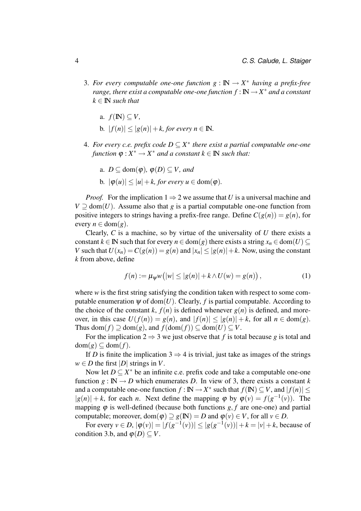- 3. For every computable one-one function  $g : \mathbb{N} \to X^*$  having a prefix-free *range, there exist a computable one-one function*  $f : \mathbb{N} \to X^*$  *and a constant*  $k \in \mathbb{N}$  *such that* 
	- a.  $f(\mathbb{N}) \subset V$ ,
	- b.  $|f(n)| \leq |g(n)| + k$ , for every  $n \in \mathbb{N}$ .
- 4. For every c.e. prefix code  $D \subseteq X^*$  there exist a partial computable one-one  $f$ *unction*  $\varphi: X^* \to X^*$  *and a constant*  $k \in \mathbb{N}$  *such that:* 
	- a. *D*  $\subset$  dom( $\varphi$ ),  $\varphi$ (*D*)  $\subset$  *V*, and
	- b.  $|\varphi(u)| \leq |u| + k$ , for every  $u \in \text{dom}(\varphi)$ .

*Proof.* For the implication  $1 \Rightarrow 2$  we assume that *U* is a universal machine and  $V \supseteq \text{dom}(U)$ . Assume also that *g* is a partial computable one-one function from positive integers to strings having a prefix-free range. Define  $C(g(n)) = g(n)$ , for every  $n \in \text{dom}(g)$ .

Clearly, *C* is a machine, so by virtue of the universality of *U* there exists a constant  $k \in \mathbb{N}$  such that for every  $n \in \text{dom}(g)$  there exists a string  $x_n \in \text{dom}(U) \subseteq$ *V* such that  $U(x_n) = C(g(n)) = g(n)$  and  $|x_n| \le |g(n)| + k$ . Now, using the constant *k* from above, define

$$
f(n) := \mu_{\psi} w(|w| \le |g(n)| + k \wedge U(w) = g(n)),
$$
 (1)

where *w* is the first string satisfying the condition taken with respect to some computable enumeration  $\psi$  of dom(*U*). Clearly, *f* is partial computable. According to the choice of the constant *k*,  $f(n)$  is defined whenever  $g(n)$  is defined, and moreover, in this case  $U(f(n)) = g(n)$ , and  $|f(n)| \le |g(n)| + k$ , for all  $n \in \text{dom}(g)$ . Thus dom( $f$ )  $\supseteq$  dom( $g$ ), and  $f$ (dom( $f$ ))  $\subseteq$  dom( $U$ )  $\subseteq$   $V$ .

For the implication  $2 \Rightarrow 3$  we just observe that *f* is total because *g* is total and  $dom(g) \subseteq dom(f)$ .

If *D* is finite the implication 3  $\Rightarrow$  4 is trivial, just take as images of the strings  $w \in D$  the first  $|D|$  strings in *V*.

Now let  $D \subseteq X^*$  be an infinite c.e. prefix code and take a computable one-one function  $g : \mathbb{N} \to D$  which enumerates D. In view of 3, there exists a constant k and a computable one-one function  $f : \mathbb{N} \to X^*$  such that  $f(\mathbb{N}) \subseteq V$ , and  $|f(n)| \leq$  $|g(n)| + k$ , for each *n*. Next define the mapping  $\varphi$  by  $\varphi(v) = f(g^{-1}(v))$ . The mapping  $\varphi$  is well-defined (because both functions  $g, f$  are one-one) and partial computable; moreover, dom( $\varphi$ )  $\supseteq g(\mathbb{N}) = D$  and  $\varphi(v) \in V$ , for all  $v \in D$ .

For every  $v \in D$ ,  $|\varphi(v)| = |f(g^{-1}(v))| \le |g(g^{-1}(v))| + k = |v| + k$ , because of condition 3.b, and  $\varphi(D) \subseteq V$ .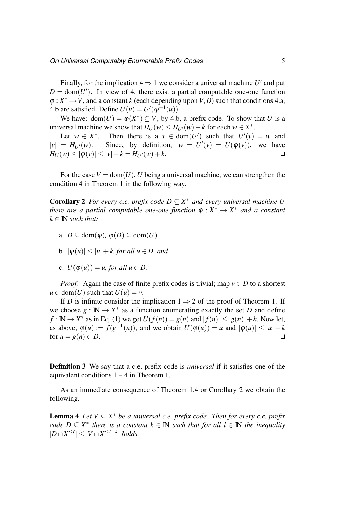Finally, for the implication  $4 \Rightarrow 1$  we consider a universal machine U' and put  $D = \text{dom}(U')$ . In view of 4, there exist a partial computable one-one function  $\varphi: X^* \to V$ , and a constant *k* (each depending upon *V*, *D*) such that conditions 4.a, 4.b are satisfied. Define  $U(u) = U'(\varphi^{-1}(u))$ .

We have:  $dom(U) = \varphi(X^*) \subseteq V$ , by 4.b, a prefix code. To show that *U* is a universal machine we show that  $H_U(w) \leq H_{U'}(w) + k$  for each  $w \in X^*$ .

Let  $w \in X^*$ . Then there is a  $v \in \text{dom}(U')$  such that  $U'(v) = w$  and  $|v| = H_{U'}(w)$ . Since, by definition,  $w = U'(v) = U(\varphi(v))$ , we have  $H_U(w) \leq |\varphi(v)| \leq |v| + k = H_{U'}(w) + k.$ 

For the case  $V = \text{dom}(U)$ , U being a universal machine, we can strengthen the condition 4 in Theorem 1 in the following way.

**Corollary 2** *For every c.e. prefix code*  $D \subseteq X^*$  *and every universal machine* U *there are a partial computable one-one function*  $\varphi : X^* \to X^*$  *and a constant*  $k \in \mathbb{N}$  *such that:* 

- a.  $D \subseteq \text{dom}(\varphi), \varphi(D) \subseteq \text{dom}(U)$ ,
- b.  $|\varphi(u)| \leq |u| + k$ , for all  $u \in D$ , and
- c.  $U(\varphi(u)) = u$ , for all  $u \in D$ .

*Proof.* Again the case of finite prefix codes is trivial; map  $v \in D$  to a shortest  $u \in \text{dom}(U)$  such that  $U(u) = v$ .

If *D* is infinite consider the implication  $1 \Rightarrow 2$  of the proof of Theorem 1. If we choose  $g : \mathbb{N} \to X^*$  as a function enumerating exactly the set *D* and define *f* : **IN**  $\rightarrow$  *X*<sup>\*</sup> as in Eq. (1) we get  $U(f(n)) = g(n)$  and  $|f(n)| \le |g(n)| + k$ . Now let, as above,  $\varphi(u) := f(g^{-1}(n))$ , and we obtain  $U(\varphi(u)) = u$  and  $|\varphi(u)| \le |u| + k$ for  $u = g(n) \in D$ .

Definition 3 We say that a c.e. prefix code is *universal* if it satisfies one of the equivalent conditions 1 – 4 in Theorem 1.

As an immediate consequence of Theorem 1.4 or Corollary 2 we obtain the following.

**Lemma 4** *Let*  $V \subseteq X^*$  *be a universal c.e. prefix code. Then for every c.e. prefix code*  $D \subseteq X^*$  *there is a constant*  $k \in \mathbb{N}$  *such that for all*  $l \in \mathbb{N}$  *the inequality*  $|D \cap X^{\leq l}|$  ≤  $|V \cap X^{\leq l+k}|$  *holds.*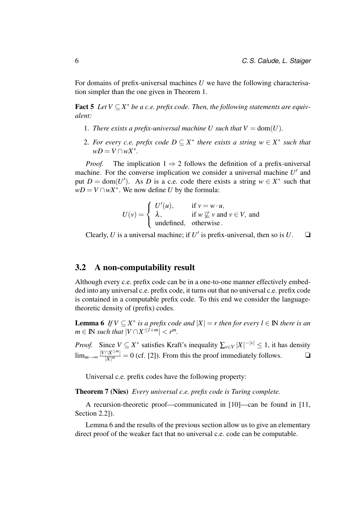For domains of prefix-universal machines *U* we have the following characterisation simpler than the one given in Theorem 1.

**Fact 5** Let  $V \subseteq X^*$  be a c.e. prefix code. Then, the following statements are equiv*alent:*

- 1. *There exists a prefix-universal machine U such that*  $V = \text{dom}(U)$ *.*
- 2. For every c.e. prefix code  $D \subseteq X^*$  there exists a string  $w \in X^*$  such that  $wD = V \cap wX^*$ .

*Proof.* The implication  $1 \Rightarrow 2$  follows the definition of a prefix-universal machine. For the converse implication we consider a universal machine  $U'$  and put  $D = \text{dom}(U')$ . As *D* is a c.e. code there exists a string  $w \in X^*$  such that  $wD = V \cap wX^*$ . We now define *U* by the formula:

$$
U(v) = \begin{cases} U'(u), & \text{if } v = w \cdot u, \\ \lambda, & \text{if } w \not\sqsubseteq v \text{ and } v \in V, \text{ and} \\ \text{undefined}, & \text{otherwise.} \end{cases}
$$

Clearly, *U* is a universal machine; if *U'* is prefix-universal, then so is *U*.  $\Box$ 

#### 3.2 A non-computability result

Although every c.e. prefix code can be in a one-to-one manner effectively embedded into any universal c.e. prefix code, it turns out that no universal c.e. prefix code is contained in a computable prefix code. To this end we consider the languagetheoretic density of (prefix) codes.

**Lemma 6** If  $V \subseteq X^*$  is a prefix code and  $|X| = r$  then for every  $l \in \mathbb{N}$  there is an  $m \in \mathbb{N}$  *such that*  $|V \cap X^{\leq l+m}| < r^m$ .

*Proof.* Since  $V \subseteq X^*$  satisfies Kraft's inequality  $\sum_{v \in V} |X|^{-|v|} \le 1$ , it has density  $\lim_{m\to\infty}$   $\frac{|V\cap X^{\leq m}|}{|X|^m}$  $\frac{|\Delta X^{\leq m}|}{|X|^m} = 0$  (cf. [2]). From this the proof immediately follows.  $\Box$ 

Universal c.e. prefix codes have the following property:

Theorem 7 (Nies) *Every universal c.e. prefix code is Turing complete.*

A recursion-theoretic proof—communicated in [10]—can be found in [11, Section 2.2]).

Lemma 6 and the results of the previous section allow us to give an elementary direct proof of the weaker fact that no universal c.e. code can be computable.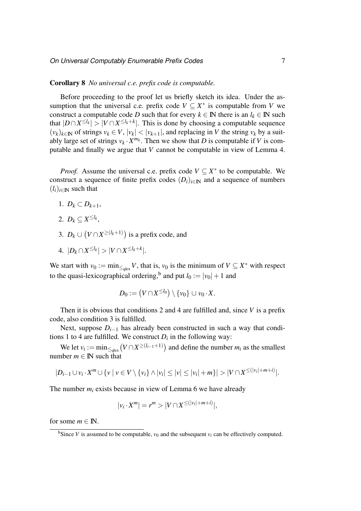#### Corollary 8 *No universal c.e. prefix code is computable.*

Before proceeding to the proof let us briefly sketch its idea. Under the assumption that the universal c.e. prefix code  $V \subseteq X^*$  is computable from *V* we construct a computable code *D* such that for every  $k \in \mathbb{N}$  there is an  $l_k \in \mathbb{N}$  such that  $|D \cap X^{\leq l_k}| > |V \cap X^{\leq l_k + k}|$ . This is done by choosing a computable sequence  $(v_k)_{k \in \mathbb{N}}$  of strings  $v_k \in V$ ,  $|v_k| < |v_{k+1}|$ , and replacing in *V* the string  $v_k$  by a suitably large set of strings  $v_k \cdot X^{m_k}$ . Then we show that *D* is computable if *V* is computable and finally we argue that *V* cannot be computable in view of Lemma 4.

*Proof.* Assume the universal c.e. prefix code  $V \subseteq X^*$  to be computable. We construct a sequence of finite prefix codes  $(D_i)_{i \in \mathbb{N}}$  and a sequence of numbers  $(l_i)_{i \in \mathbb{N}}$  such that

- 1.  $D_k \subset D_{k+1}$ ,
- 2.  $D_k \subseteq X^{\leq l_k}$ ,
- 3.  $D_k \cup (V \cap X^{\geq (l_k+1)})$  is a prefix code, and
- $4. |D_k \cap X^{\leq l_k}| > |V \cap X^{\leq l_k + k}|.$

We start with  $v_0 := \min_{\leq q \in \mathbb{R}} V$ , that is,  $v_0$  is the minimum of  $V \subseteq X^*$  with respect to the quasi-lexicographical ordering,<sup>b</sup> and put  $l_0 := |v_0| + 1$  and

$$
D_0 := (V \cap X^{\leq l_0}) \setminus \{v_0\} \cup v_0 \cdot X.
$$

Then it is obvious that conditions 2 and 4 are fulfilled and, since *V* is a prefix code, also condition 3 is fulfilled.

Next, suppose  $D_{i-1}$  has already been constructed in such a way that conditions 1 to 4 are fulfilled. We construct  $D_i$  in the following way:

We let  $v_i := \min_{\leq q \in \mathbb{R}} (V \cap X^{\geq (l_{i-1}+1)})$  and define the number  $m_i$  as the smallest number  $m \in \mathbb{N}$  such that

$$
|D_{i-1}\cup v_i\cdot X^m\cup\{v\mid v\in V\setminus\{v_i\}\wedge|v_i|\leq|v|\leq|v_i|+m\}|>|V\cap X^{\leq(|v_i|+m+i)}|.
$$

The number  $m_i$  exists because in view of Lemma 6 we have already

$$
|v_i \cdot X^m| = r^m > |V \cap X^{\leq (|v_i| + m + i)}|,
$$

for some  $m \in \mathbb{N}$ .

<sup>&</sup>lt;sup>b</sup>Since *V* is assumed to be computable,  $v_0$  and the subsequent  $v_i$  can be effectively computed.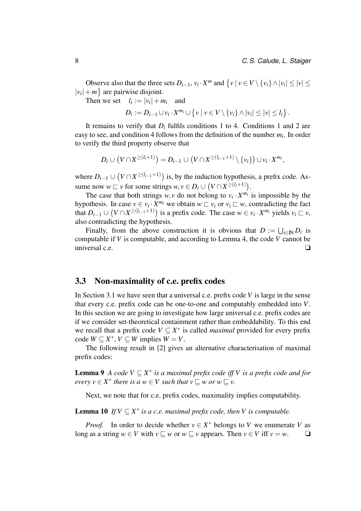Observe also that the three sets  $D_{i-1}$ ,  $v_i \cdot X^m$  and  $\{v \mid v \in V \setminus \{v_i\} \land |v_i| \le |v| \le$  $|v_i| + m$  are pairwise disjoint.

Then we set  $l_i := |v_i| + m_i$  and

 $D_i := D_{i-1} \cup v_i \cdot X^{m_i} \cup \{v \mid v \in V \setminus \{v_i\} \wedge |v_i| \leq |v| \leq l_i\}.$ 

It remains to verify that  $D_i$  fulfils conditions 1 to 4. Conditions 1 and 2 are easy to see, and condition 4 follows from the definition of the number  $m_i$ . In order to verify the third property observe that

$$
D_i\cup (V\cap X^{\geq (l_i+1)})=D_{i-1}\cup (V\cap X^{\geq (l_{i-1}+1)}\setminus \{v_i\})\cup v_i\cdot X^{m_i},
$$

where  $D_{i-1}$  ∪  $(V \cap X^{\geq (l_{i-1}+1)})$  is, by the induction hypothesis, a prefix code. Assume now  $w \sqsubset v$  for some strings  $w, v \in D_i \cup (V \cap X^{\geq (l_i+1)})$ .

The case that both strings  $w, v$  do not belong to  $v_i \cdot X^{m_i}$  is impossible by the hypothesis. In case  $v \in v_i \cdot X^{m_i}$  we obtain  $w \sqsubset v_i$  or  $v_i \sqsubset w$ , contradicting the fact that  $D_{i-1} \cup (V \cap X^{\geq (l_{i-1}+1)})$  is a prefix code. The case  $w \in v_i \cdot X^{m_i}$  yields  $v_i \sqsubset v$ , also contradicting the hypothesis.

Finally, from the above construction it is obvious that  $D := \bigcup_{i \in \mathbb{N}} D_i$  is computable if *V* is computable, and according to Lemma 4, the code *V* cannot be universal c.e. ❏

#### 3.3 Non-maximality of c.e. prefix codes

In Section 3.1 we have seen that a universal c.e. prefix code *V* is large in the sense that every c.e. prefix code can be one-to-one and computably embedded into *V*. In this section we are going to investigate how large universal c.e. prefix codes are if we consider set-theoretical containment rather than embeddability. To this end we recall that a prefix code  $V \subseteq X^*$  is called *maximal* provided for every prefix  $\text{code } W \subseteq X^*, V \subseteq W \text{ implies } W = V.$ 

The following result in [2] gives an alternative characterisation of maximal prefix codes:

**Lemma 9** *A code*  $V \subseteq X^*$  *is a maximal prefix code iff V is a prefix code and for*  $every v \in X^*$  there is a  $w \in V$  such that  $v \sqsubseteq w$  or  $w \sqsubseteq v$ .

Next, we note that for c.e. prefix codes, maximality implies computability.

**Lemma 10** If  $V \subseteq X^*$  is a c.e. maximal prefix code, then V is computable.

*Proof.* In order to decide whether  $v \in X^*$  belongs to *V* we enumerate *V* as long as a string  $w \in V$  with  $v \subseteq w$  or  $w \subseteq v$  appears. Then  $v \in V$  iff  $v = w$ .  $\Box$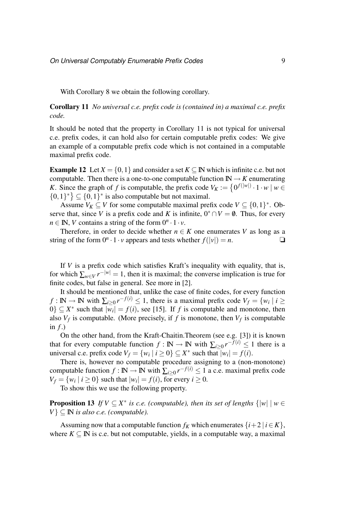With Corollary 8 we obtain the following corollary.

Corollary 11 *No universal c.e. prefix code is (contained in) a maximal c.e. prefix code.*

It should be noted that the property in Corollary 11 is not typical for universal c.e. prefix codes, it can hold also for certain computable prefix codes: We give an example of a computable prefix code which is not contained in a computable maximal prefix code.

**Example 12** Let  $X = \{0, 1\}$  and consider a set  $K \subseteq \mathbb{N}$  which is infinite c.e. but not computable. Then there is a one-to-one computable function  $\mathbb{N} \to K$  enumerating *K*. Since the graph of *f* is computable, the prefix code  $V_K := \{0^{f(|w|)} \cdot 1 \cdot w \mid w \in$  $\{0,1\}^* \subseteq \{0,1\}^*$  is also computable but not maximal.

Assume  $V_K \subseteq V$  for some computable maximal prefix code  $V \subseteq \{0,1\}^*$ . Observe that, since *V* is a prefix code and *K* is infinite,  $0^* \cap V = \emptyset$ . Thus, for every  $n \in \mathbb{N}$ , *V* contains a string of the form  $0^n \cdot 1 \cdot v$ .

Therefore, in order to decide whether  $n \in K$  one enumerates *V* as long as a string of the form  $0^n \cdot 1 \cdot v$  appears and tests whether  $f(|v|) = n$ .

If *V* is a prefix code which satisfies Kraft's inequality with equality, that is, for which  $\sum_{w \in V} r^{-|w|} = 1$ , then it is maximal; the converse implication is true for finite codes, but false in general. See more in [2].

It should be mentioned that, unlike the case of finite codes, for every function  $f: \mathbb{N} \to \mathbb{N}$  with  $\sum_{i \geq 0} r^{-f(i)} \leq 1$ , there is a maximal prefix code  $V_f = \{w_i \mid i \geq 1\}$  $0$ }  $\subseteq X^*$  such that  $|\overline{w_i}| = f(i)$ , see [15]. If *f* is computable and monotone, then also  $V_f$  is computable. (More precisely, if *f* is monotone, then  $V_f$  is computable in  $f$ .)

On the other hand, from the Kraft-Chaitin.Theorem (see e.g. [3]) it is known that for every computable function  $f : \mathbb{N} \to \mathbb{N}$  with  $\sum_{i \geq 0} r^{-f(i)} \leq 1$  there is a universal c.e. prefix code  $V_f = \{w_i \mid i \ge 0\} \subseteq X^*$  such that  $|w_i| = f(i)$ .

There is, however no computable procedure assigning to a (non-monotone) computable function  $f : \mathbb{N} \to \mathbb{N}$  with  $\sum_{i \geq 0} r^{-f(i)} \leq 1$  a c.e. maximal prefix code  $V_f = \{w_i \mid i \ge 0\}$  such that  $|w_i| = f(i)$ , for every  $i \ge 0$ .

To show this we use the following property.

**Proposition 13** If  $V \subseteq X^*$  is c.e. (computable), then its set of lengths  $\{|w| \mid w \in Y\}$  $V$ <sup>}</sup>  $\subseteq$  **N** *is also c.e. (computable).* 

Assuming now that a computable function  $f_K$  which enumerates  $\{i+2 \mid i \in K\}$ , where  $K \subseteq \mathbb{N}$  is c.e. but not computable, yields, in a computable way, a maximal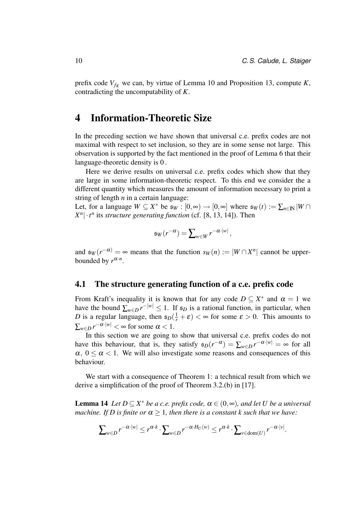prefix code  $V_{f_K}$  we can, by virtue of Lemma 10 and Proposition 13, compute *K*, contradicting the uncomputability of *K*.

## 4 Information-Theoretic Size

In the preceding section we have shown that universal c.e. prefix codes are not maximal with respect to set inclusion, so they are in some sense not large. This observation is supported by the fact mentioned in the proof of Lemma 6 that their language-theoretic density is 0 .

Here we derive results on universal c.e. prefix codes which show that they are large in some information-theoretic respect. To this end we consider the a different quantity which measures the amount of information necessary to print a string of length *n* in a certain language:

Let, for a language  $W \subseteq X^*$  be  $\mathfrak{s}_W : [0, \infty) \to [0, \infty]$  where  $\mathfrak{s}_W(t) := \sum_{n \in \mathbb{N}} |W \cap$  $X^n$   $\cdot$  *t*<sup>*n*</sup> its *structure generating function* (cf. [8, 13, 14]). Then

$$
\mathfrak{s}_W(r^{-\alpha})=\sum\nolimits_{w\in W}r^{-\alpha\cdot|w|},
$$

and  $\mathfrak{s}_W(r^{-\alpha}) = \infty$  means that the function  $s_W(n) := |W \cap X^n|$  cannot be upperbounded by  $r^{\alpha \cdot n}$ .

#### 4.1 The structure generating function of a c.e. prefix code

From Kraft's inequality it is known that for any code  $D \subseteq X^*$  and  $\alpha = 1$  we have the bound  $\sum_{w \in D} r^{-|w|} \leq 1$ . If  $\epsilon_D$  is a rational function, in particular, when *D* is a regular language, then  $\epsilon_D(\frac{1}{r} + \varepsilon) < \infty$  for some  $\varepsilon > 0$ . This amounts to  $\sum_{w \in D} r^{-\alpha \cdot |w|} < \infty$  for some  $\alpha < 1$ .

In this section we are going to show that universal c.e. prefix codes do not have this behaviour, that is, they satisfy  $\epsilon_D(r^{-\alpha}) = \sum_{w \in D} r^{-\alpha |w|} = \infty$  for all  $\alpha$ ,  $0 \le \alpha \le 1$ . We will also investigate some reasons and consequences of this behaviour.

We start with a consequence of Theorem 1: a technical result from which we derive a simplification of the proof of Theorem 3.2.(b) in [17].

**Lemma 14** *Let*  $D \subseteq X^*$  *be a c.e. prefix code,*  $\alpha \in (0, \infty)$ *, and let U be a universal machine. If D is finite or*  $\alpha > 1$ *, then there is a constant k such that we have:* 

$$
\sum\nolimits_{w\in D} r^{-\alpha\cdot |w|}\le r^{\alpha\cdot k}\cdot \sum\nolimits_{w\in D} r^{-\alpha\cdot H_U(w)}\le r^{\alpha\cdot k}\cdot \sum\nolimits_{v\in\mathrm{dom}(U)} r^{-\alpha\cdot |v|}.
$$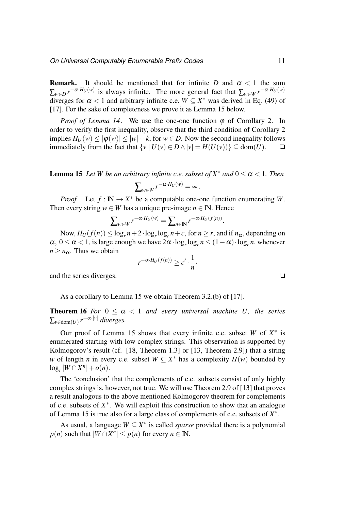**Remark.** It should be mentioned that for infinite *D* and  $\alpha$  < 1 the sum  $\sum_{w \in D} r^{-\alpha \cdot H_U(w)}$  is always infinite. The more general fact that  $\sum_{w \in W} r^{-\alpha \cdot H_U(w)}$ diverges for  $\alpha < 1$  and arbitrary infinite c.e.  $W \subseteq X^*$  was derived in Eq. (49) of [17]. For the sake of completeness we prove it as Lemma 15 below.

*Proof of Lemma 14.* We use the one-one function  $\varphi$  of Corollary 2. In order to verify the first inequality, observe that the third condition of Corollary 2 implies  $H_U(w) \leq |\varphi(w)| \leq |w| + k$ , for  $w \in D$ . Now the second inequality follows immediately from the fact that  $\{v \mid U(v) \in D \land |v| = H(U(v))\}$  ⊆ dom(*U*). <del></del>**□** 

**Lemma 15** *Let W be an arbitrary infinite c.e. subset of*  $X^*$  *and*  $0 \le \alpha < 1$ *. Then*  $\sum_{w\in W} r^{-\alpha \cdot H_U(w)} = \infty$ .

*Proof.* Let  $f : \mathbb{N} \to X^*$  be a computable one-one function enumerating W. Then every string  $w \in W$  has a unique pre-image  $n \in \mathbb{N}$ . Hence

$$
\sum_{w \in W} r^{-\alpha \cdot H_U(w)} = \sum_{n \in \mathbb{N}} r^{-\alpha \cdot H_U(f(n))}.
$$

Now,  $H_U(f(n)) \le \log_r n + 2 \cdot \log_r \log_r n + c$ , for  $n \ge r$ , and if  $n_\alpha$ , depending on  $\alpha$ ,  $0 \le \alpha < 1$ , is large enough we have  $2\alpha \cdot \log_r \log_r n \le (1 - \alpha) \cdot \log_r n$ , whenever  $n \geq n_{\alpha}$ . Thus we obtain

$$
r^{-\alpha \cdot H_U(f(n))} \geq c' \cdot \frac{1}{n},
$$

and the series diverges. ❏

As a corollary to Lemma 15 we obtain Theorem 3.2.(b) of [17].

**Theorem 16** *For*  $0 \le \alpha \le 1$  *and every universal machine U, the series*  $\sum_{v \in \text{dom}(U)} r^{-\alpha \cdot |v|}$  diverges.

Our proof of Lemma 15 shows that every infinite c.e. subset  $W$  of  $X^*$  is enumerated starting with low complex strings. This observation is supported by Kolmogorov's result (cf. [18, Theorem 1.3] or [13, Theorem 2.9]) that a string *w* of length *n* in every c.e. subset  $W \subseteq X^*$  has a complexity  $H(w)$  bounded by  $\log_r |W \cap X^n| + o(n).$ 

The 'conclusion' that the complements of c.e. subsets consist of only highly complex strings is, however, not true. We will use Theorem 2.9 of [13] that proves a result analogous to the above mentioned Kolmogorov theorem for complements of c.e. subsets of  $X^*$ . We will exploit this construction to show that an analogue of Lemma 15 is true also for a large class of complements of c.e. subsets of *X* ∗ .

As usual, a language  $W \subseteq X^*$  is called *sparse* provided there is a polynomial  $p(n)$  such that  $|W \cap X^n| \leq p(n)$  for every  $n \in \mathbb{N}$ .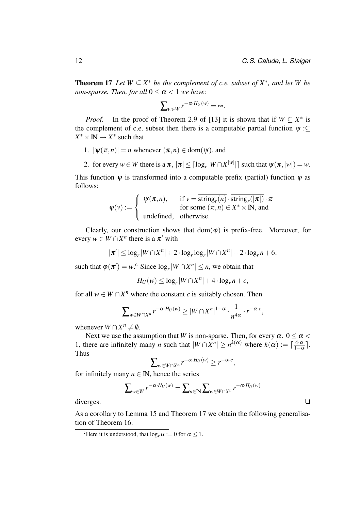**Theorem 17** *Let*  $W \subseteq X^*$  *be the complement of c.e. subset of*  $X^*$ *, and let*  $W$  *be non-sparse. Then, for all*  $0 \le \alpha \le 1$  *we have:* 

$$
\sum_{w \in W} r^{-\alpha \cdot H_U(w)} = \infty.
$$

*Proof.* In the proof of Theorem 2.9 of [13] it is shown that if  $W \subseteq X^*$  is the complement of c.e. subset then there is a computable partial function  $\psi$ :⊆  $X^* \times \mathbb{N} \to X^*$  such that

- 1.  $|\psi(\pi,n)| = n$  whenever  $(\pi,n) \in \text{dom}(\psi)$ , and
- 2. for every  $w \in W$  there is a  $\pi$ ,  $|\pi| \leq \lceil \log_r |W \cap X^{|w|}|\rceil$  such that  $\psi(\pi, |w|) = w$ .

This function  $\psi$  is transformed into a computable prefix (partial) function  $\varphi$  as follows:

$$
\varphi(v) := \begin{cases} \psi(\pi, n), & \text{if } v = \overline{\text{string}_r(n)} \cdot \overline{\text{string}_r(|\pi|)} \cdot \pi \\ \text{for some } (\pi, n) \in X^* \times \mathbb{N}, \text{ and} \\ \text{undefined}, & \text{otherwise.} \end{cases}
$$

Clearly, our construction shows that  $dom(\varphi)$  is prefix-free. Moreover, for every  $w \in W \cap X^n$  there is a  $\pi'$  with

 $|\pi'| \leq \log_r |W \cap X^n| + 2 \cdot \log_r \log_r |W \cap X^n| + 2 \cdot \log_r n + 6$ ,

such that  $\varphi(\pi') = w$ .<sup>c</sup> Since  $\log_r |W \cap X^n| \leq n$ , we obtain that

$$
H_U(w) \leq \log_r |W \cap X^n| + 4 \cdot \log_r n + c,
$$

for all  $w \in W \cap X^n$  where the constant *c* is suitably chosen. Then

$$
\sum_{w \in W \cap X^n} r^{-\alpha \cdot H_U(w)} \geq |W \cap X^n|^{1-\alpha} \cdot \frac{1}{n^{4\alpha}} \cdot r^{-\alpha \cdot c},
$$

whenever  $W \cap X^n \neq \emptyset$ .

Next we use the assumption that *W* is non-sparse. Then, for every  $\alpha$ ,  $0 \le \alpha$ 1, there are infinitely many *n* such that  $|W \cap X^n| \ge n^{k(\alpha)}$  where  $k(\alpha) := \lceil \frac{4 \cdot \alpha}{1 - \alpha} \rceil$  $rac{4 \cdot \alpha}{1 - \alpha}$ . Thus

$$
\sum_{w \in W \cap X^n} r^{-\alpha \cdot H_U(w)} \geq r^{-\alpha \cdot c},
$$

for infinitely many  $n \in \mathbb{N}$ , hence the series

$$
\sum_{w \in W} r^{-\alpha \cdot H_U(w)} = \sum_{n \in \mathbb{N}} \sum_{w \in W \cap X^n} r^{-\alpha \cdot H_U(w)}
$$
 diverges.

As a corollary to Lemma 15 and Theorem 17 we obtain the following generalisation of Theorem 16.

<sup>&</sup>lt;sup>c</sup>Here it is understood, that  $\log_{r} \alpha := 0$  for  $\alpha \leq 1$ .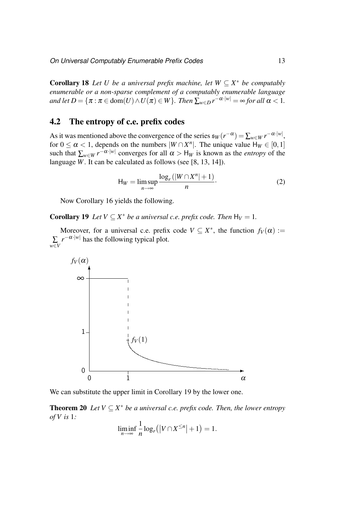**Corollary 18** Let U be a universal prefix machine, let  $W \subseteq X^*$  be computably *enumerable or a non-sparse complement of a computably enumerable language and let*  $D = \{ \pi : \pi \in \text{dom}(U) \land U(\pi) \in W \}$ *. Then*  $\sum_{w \in D} r^{-\alpha \cdot |w|} = \infty$  for all  $\alpha < 1$ *.* 

#### 4.2 The entropy of c.e. prefix codes

As it was mentioned above the convergence of the series  $\epsilon_W(r^{-\alpha}) = \sum_{w \in W} r^{-\alpha \cdot |w|}$ , for  $0 \le \alpha < 1$ , depends on the numbers  $|W \cap X^n|$ . The unique value  $H_W \in [0,1]$ such that  $\sum_{w \in W} r^{-\alpha \cdot |w|}$  converges for all  $\alpha > H_W$  is known as the *entropy* of the language *W*. It can be calculated as follows (see [8, 13, 14]).

$$
H_W = \limsup_{n \to \infty} \frac{\log_r(|W \cap X^n| + 1)}{n}.
$$
 (2)

Now Corollary 16 yields the following.

**Corollary 19** Let  $V \subseteq X^*$  be a universal c.e. prefix code. Then  $H_V = 1$ .

Moreover, for a universal c.e. prefix code  $V \subseteq X^*$ , the function  $f_V(\alpha) :=$ ∑ *w*∈*V*  $r^{-\alpha \cdot |w|}$  has the following typical plot.



We can substitute the upper limit in Corollary 19 by the lower one.

**Theorem 20** *Let*  $V \subseteq X^*$  *be a universal c.e. prefix code. Then, the lower entropy of V is* 1*:*

$$
\liminf_{n\to\infty}\frac{1}{n}\log_r(|V\cap X^{\leq n}|+1)=1.
$$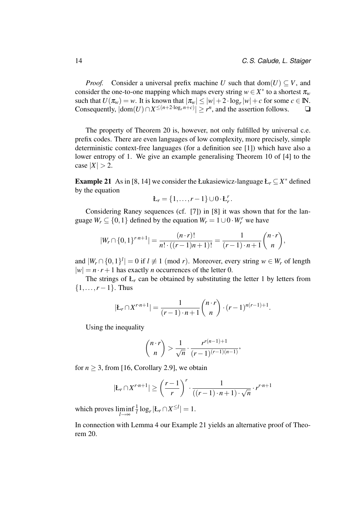*Proof.* Consider a universal prefix machine *U* such that dom(*U*)  $\subset$  *V*, and consider the one-to-one mapping which maps every string  $w \in X^*$  to a shortest  $\pi_w$ such that  $U(\pi_w) = w$ . It is known that  $|\pi_w| \le |w| + 2 \cdot \log_r |w| + c$  for some  $c \in \mathbb{N}$ . Consequently,  $|dom(U) \cap X^{\leq (n+2\cdot log_r n + c)}|$  ≥ *r*<sup>n</sup>, and the assertion follows. <del></del>**□** 

The property of Theorem 20 is, however, not only fulfilled by universal c.e. prefix codes. There are even languages of low complexity, more precisely, simple deterministic context-free languages (for a definition see [1]) which have also a lower entropy of 1. We give an example generalising Theorem 10 of [4] to the  $\text{case} |X| > 2.$ 

**Example 21** As in [8, 14] we consider the Łukasiewicz-language  $L_r \subseteq X^*$  defined by the equation

$$
L_r = \{1,\ldots,r-1\} \cup 0 \cdot L_r^r.
$$

Considering Raney sequences (cf. [7]) in [8] it was shown that for the language  $W_r \subseteq \{0, 1\}$  defined by the equation  $W_r = 1 \cup 0 \cdot W_r^r$  we have

$$
|W_r \cap \{0,1\}^{r\cdot n+1}| = \frac{(n\cdot r)!}{n!\cdot ((r-1)n+1)!} = \frac{1}{(r-1)\cdot n+1} \binom{n\cdot r}{n},
$$

and  $|W_r \cap \{0,1\}^l| = 0$  if  $l \neq 1 \pmod{r}$ . Moreover, every string  $w \in W_r$  of length  $|w| = n \cdot r + 1$  has exactly *n* occurrences of the letter 0.

The strings of  $L_r$  can be obtained by substituting the letter 1 by letters from  $\{1, \ldots, r-1\}$ . Thus

$$
|E_r \cap X^{r \cdot n+1}| = \frac{1}{(r-1) \cdot n+1} {n \cdot r \choose n} \cdot (r-1)^{n(r-1)+1}.
$$

Using the inequality

$$
\binom{n \cdot r}{n} > \frac{1}{\sqrt{n}} \cdot \frac{r^{r(n-1)+1}}{(r-1)^{(r-1)(n-1)}},
$$

for  $n \geq 3$ , from [16, Corollary 2.9], we obtain

$$
|E_r \cap X^{r \cdot n+1}| \ge \left(\frac{r-1}{r}\right)^r \cdot \frac{1}{((r-1) \cdot n+1) \cdot \sqrt{n}} \cdot r^{r \cdot n+1}
$$

which proves liminf *l*→∞ 1  $\frac{1}{l} \log_r |E_r \cap X^{\leq l}| = 1.$ 

In connection with Lemma 4 our Example 21 yields an alternative proof of Theorem 20.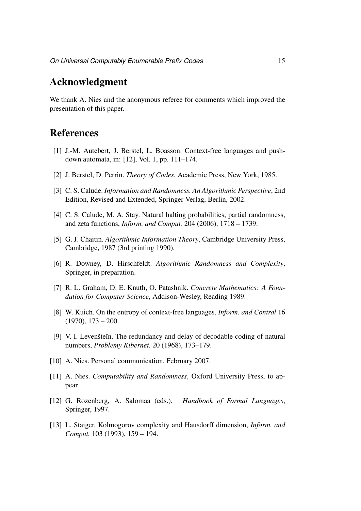# Acknowledgment

We thank A. Nies and the anonymous referee for comments which improved the presentation of this paper.

# **References**

- [1] J.-M. Autebert, J. Berstel, L. Boasson. Context-free languages and pushdown automata, in: [12], Vol. 1, pp. 111–174.
- [2] J. Berstel, D. Perrin. *Theory of Codes*, Academic Press, New York, 1985.
- [3] C. S. Calude. *Information and Randomness. An Algorithmic Perspective*, 2nd Edition, Revised and Extended, Springer Verlag, Berlin, 2002.
- [4] C. S. Calude, M. A. Stay. Natural halting probabilities, partial randomness, and zeta functions, *Inform. and Comput.* 204 (2006), 1718 – 1739.
- [5] G. J. Chaitin. *Algorithmic Information Theory*, Cambridge University Press, Cambridge, 1987 (3rd printing 1990).
- [6] R. Downey, D. Hirschfeldt. *Algorithmic Randomness and Complexity*, Springer, in preparation.
- [7] R. L. Graham, D. E. Knuth, O. Patashnik. *Concrete Mathematics: A Foundation for Computer Science*, Addison-Wesley, Reading 1989.
- [8] W. Kuich. On the entropy of context-free languages, *Inform. and Control* 16  $(1970), 173 - 200.$
- [9] V. I. Levenstein. The redundancy and delay of decodable coding of natural numbers, *Problemy Kibernet.* 20 (1968), 173–179.
- [10] A. Nies. Personal communication, February 2007.
- [11] A. Nies. *Computability and Randomness*, Oxford University Press, to appear.
- [12] G. Rozenberg, A. Salomaa (eds.). *Handbook of Formal Languages*, Springer, 1997.
- [13] L. Staiger. Kolmogorov complexity and Hausdorff dimension, *Inform. and Comput.* 103 (1993), 159 – 194.